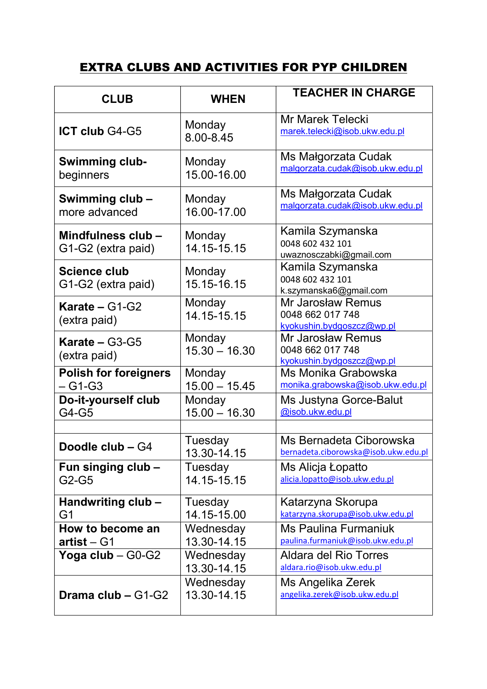## EXTRA CLUBS AND ACTIVITIES FOR PYP CHILDREN

| <b>CLUB</b>                               | <b>WHEN</b>               | <b>TEACHER IN CHARGE</b>                                                  |
|-------------------------------------------|---------------------------|---------------------------------------------------------------------------|
| <b>ICT club G4-G5</b>                     | Monday<br>8.00-8.45       | <b>Mr Marek Telecki</b><br>marek.telecki@isob.ukw.edu.pl                  |
| <b>Swimming club-</b><br>beginners        | Monday<br>15.00-16.00     | Ms Małgorzata Cudak<br>malgorzata.cudak@isob.ukw.edu.pl                   |
| Swimming club -<br>more advanced          | Monday<br>16.00-17.00     | Ms Małgorzata Cudak<br>malgorzata.cudak@isob.ukw.edu.pl                   |
| Mindfulness club -<br>G1-G2 (extra paid)  | Monday<br>14.15-15.15     | Kamila Szymanska<br>0048 602 432 101<br>uwaznosczabki@gmail.com           |
| <b>Science club</b><br>G1-G2 (extra paid) | Monday<br>15.15-16.15     | Kamila Szymanska<br>0048 602 432 101<br>k.szymanska6@gmail.com            |
| Karate $- G1-G2$<br>(extra paid)          | Monday<br>14.15-15.15     | <b>Mr Jarosław Remus</b><br>0048 662 017 748<br>kyokushin.bydgoszcz@wp.pl |
| Karate $-$ G3-G5<br>(extra paid)          | Monday<br>$15.30 - 16.30$ | Mr Jarosław Remus<br>0048 662 017 748<br>kyokushin.bydgoszcz@wp.pl        |
| <b>Polish for foreigners</b><br>$-G1-G3$  | Monday<br>$15.00 - 15.45$ | Ms Monika Grabowska<br>monika.grabowska@isob.ukw.edu.pl                   |
| Do-it-yourself club<br>G4-G5              | Monday<br>$15.00 - 16.30$ | Ms Justyna Gorce-Balut<br>@isob.ukw.edu.pl                                |
| Doodle club - G4                          | Tuesday<br>13.30-14.15    | Ms Bernadeta Ciborowska<br>bernadeta.ciborowska@isob.ukw.edu.pl           |
| Fun singing club -<br>$G2-G5$             | Tuesday<br>14.15-15.15    | Ms Alicja Łopatto<br>alicia.lopatto@isob.ukw.edu.pl                       |
| Handwriting club -<br>G <sub>1</sub>      | Tuesday<br>14.15-15.00    | Katarzyna Skorupa<br>katarzyna.skorupa@isob.ukw.edu.pl                    |
| How to become an<br>$artist - G1$         | Wednesday<br>13.30-14.15  | <b>Ms Paulina Furmaniuk</b><br>paulina.furmaniuk@isob.ukw.edu.pl          |
| Yoga club - G0-G2                         | Wednesday<br>13.30-14.15  | Aldara del Rio Torres<br>aldara.rio@isob.ukw.edu.pl                       |
| Drama club $-$ G1-G2                      | Wednesday<br>13.30-14.15  | Ms Angelika Zerek<br>angelika.zerek@isob.ukw.edu.pl                       |